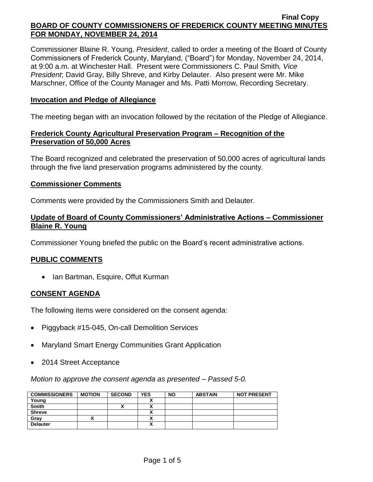Commissioner Blaine R. Young, *President*, called to order a meeting of the Board of County Commissioners of Frederick County, Maryland, ("Board") for Monday, November 24, 2014, at 9:00 a.m. at Winchester Hall. Present were Commissioners C. Paul Smith*, Vice President*; David Gray, Billy Shreve, and Kirby Delauter. Also present were Mr. Mike Marschner, Office of the County Manager and Ms. Patti Morrow, Recording Secretary.

### **Invocation and Pledge of Allegiance**

The meeting began with an invocation followed by the recitation of the Pledge of Allegiance.

## **Frederick County Agricultural Preservation Program – Recognition of the Preservation of 50,000 Acres**

The Board recognized and celebrated the preservation of 50,000 acres of agricultural lands through the five land preservation programs administered by the county.

### **Commissioner Comments**

Comments were provided by the Commissioners Smith and Delauter.

## **Update of Board of County Commissioners' Administrative Actions – Commissioner Blaine R. Young**

Commissioner Young briefed the public on the Board's recent administrative actions.

## **PUBLIC COMMENTS**

• Ian Bartman, Esquire, Offut Kurman

## **CONSENT AGENDA**

The following items were considered on the consent agenda:

- Piggyback #15-045, On-call Demolition Services
- Maryland Smart Energy Communities Grant Application
- 2014 Street Acceptance

*Motion to approve the consent agenda as presented – Passed 5-0.*

| <b>COMMISSIONERS</b> | <b>MOTION</b> | <b>SECOND</b> | <b>YES</b> | <b>NO</b> | <b>ABSTAIN</b> | <b>NOT PRESENT</b> |
|----------------------|---------------|---------------|------------|-----------|----------------|--------------------|
| Young                |               |               |            |           |                |                    |
| <b>Smith</b>         |               | "             |            |           |                |                    |
| <b>Shreve</b>        |               |               |            |           |                |                    |
| Grav                 |               |               |            |           |                |                    |
| <b>Delauter</b>      |               |               |            |           |                |                    |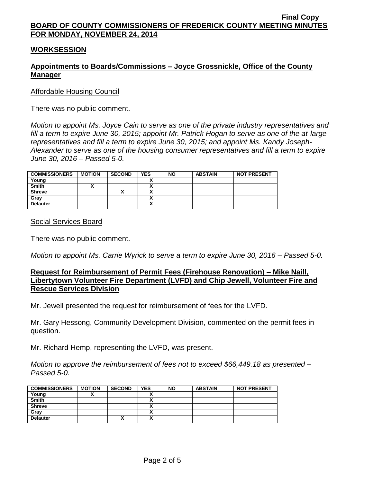## **WORKSESSION**

## **Appointments to Boards/Commissions – Joyce Grossnickle, Office of the County Manager**

Affordable Housing Council

There was no public comment.

*Motion to appoint Ms. Joyce Cain to serve as one of the private industry representatives and fill a term to expire June 30, 2015; appoint Mr. Patrick Hogan to serve as one of the at-large representatives and fill a term to expire June 30, 2015; and appoint Ms. Kandy Joseph-Alexander to serve as one of the housing consumer representatives and fill a term to expire June 30, 2016 – Passed 5-0.*

| <b>COMMISSIONERS</b> | <b>MOTION</b> | <b>SECOND</b> | <b>YES</b> | <b>NO</b> | <b>ABSTAIN</b> | <b>NOT PRESENT</b> |
|----------------------|---------------|---------------|------------|-----------|----------------|--------------------|
| Young                |               |               |            |           |                |                    |
| <b>Smith</b>         |               |               |            |           |                |                    |
| <b>Shreve</b>        |               |               |            |           |                |                    |
| Gray                 |               |               |            |           |                |                    |
| <b>Delauter</b>      |               |               | v          |           |                |                    |

Social Services Board

There was no public comment.

*Motion to appoint Ms. Carrie Wyrick to serve a term to expire June 30, 2016 – Passed 5-0.*

### **Request for Reimbursement of Permit Fees (Firehouse Renovation) – Mike Naill, Libertytown Volunteer Fire Department (LVFD) and Chip Jewell, Volunteer Fire and Rescue Services Division**

Mr. Jewell presented the request for reimbursement of fees for the LVFD.

Mr. Gary Hessong, Community Development Division, commented on the permit fees in question.

Mr. Richard Hemp, representing the LVFD, was present.

*Motion to approve the reimbursement of fees not to exceed \$66,449.18 as presented – Passed 5-0.*

| <b>COMMISSIONERS</b> | <b>MOTION</b> | <b>SECOND</b> | <b>YES</b>           | <b>NO</b> | <b>ABSTAIN</b> | <b>NOT PRESENT</b> |
|----------------------|---------------|---------------|----------------------|-----------|----------------|--------------------|
| Young                |               |               |                      |           |                |                    |
| <b>Smith</b>         |               |               |                      |           |                |                    |
| <b>Shreve</b>        |               |               |                      |           |                |                    |
| Gray                 |               |               |                      |           |                |                    |
| <b>Delauter</b>      |               | Λ             | $\ddot{\phantom{1}}$ |           |                |                    |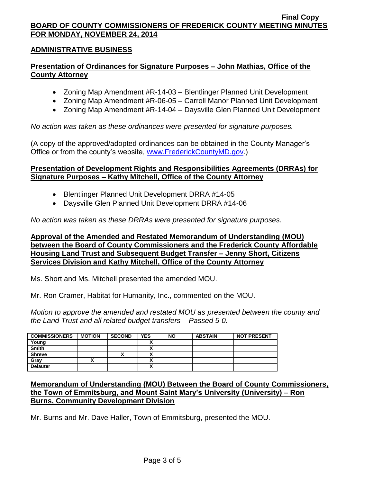## **ADMINISTRATIVE BUSINESS**

## **Presentation of Ordinances for Signature Purposes – John Mathias, Office of the County Attorney**

- Zoning Map Amendment #R-14-03 Blentlinger Planned Unit Development
- Zoning Map Amendment #R-06-05 Carroll Manor Planned Unit Development
- Zoning Map Amendment #R-14-04 Daysville Glen Planned Unit Development

*No action was taken as these ordinances were presented for signature purposes.*

(A copy of the approved/adopted ordinances can be obtained in the County Manager's Office or from the county's website, [www.FrederickCountyMD.gov.](http://www.frederickcountymd.gov/))

## **Presentation of Development Rights and Responsibilities Agreements (DRRAs) for Signature Purposes – Kathy Mitchell, Office of the County Attorney**

- Blentlinger Planned Unit Development DRRA #14-05
- Daysville Glen Planned Unit Development DRRA #14-06

*No action was taken as these DRRAs were presented for signature purposes.*

## **Approval of the Amended and Restated Memorandum of Understanding (MOU) between the Board of County Commissioners and the Frederick County Affordable Housing Land Trust and Subsequent Budget Transfer – Jenny Short, Citizens Services Division and Kathy Mitchell, Office of the County Attorney**

Ms. Short and Ms. Mitchell presented the amended MOU.

Mr. Ron Cramer, Habitat for Humanity, Inc., commented on the MOU.

*Motion to approve the amended and restated MOU as presented between the county and the Land Trust and all related budget transfers – Passed 5-0.*

| <b>COMMISSIONERS</b> | <b>MOTION</b> | <b>SECOND</b> | <b>YES</b> | <b>NO</b> | <b>ABSTAIN</b> | <b>NOT PRESENT</b> |
|----------------------|---------------|---------------|------------|-----------|----------------|--------------------|
| Young                |               |               |            |           |                |                    |
| Smith                |               |               |            |           |                |                    |
| <b>Shreve</b>        |               | Λ             |            |           |                |                    |
| Gray                 |               |               |            |           |                |                    |
| <b>Delauter</b>      |               |               |            |           |                |                    |

## **Memorandum of Understanding (MOU) Between the Board of County Commissioners, the Town of Emmitsburg, and Mount Saint Mary's University (University) – Ron Burns, Community Development Division**

Mr. Burns and Mr. Dave Haller, Town of Emmitsburg, presented the MOU.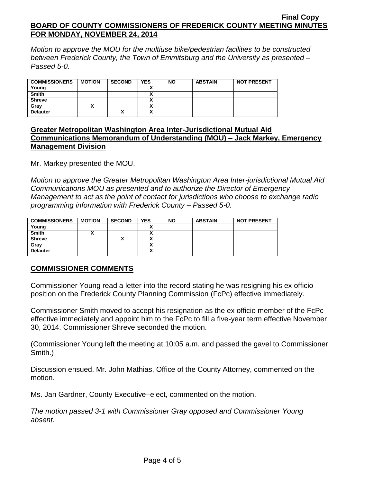*Motion to approve the MOU for the multiuse bike/pedestrian facilities to be constructed between Frederick County, the Town of Emmitsburg and the University as presented – Passed 5-0.*

| <b>COMMISSIONERS</b> | <b>MOTION</b> | <b>SECOND</b> | <b>YES</b> | <b>NO</b> | <b>ABSTAIN</b> | <b>NOT PRESENT</b> |
|----------------------|---------------|---------------|------------|-----------|----------------|--------------------|
| Young                |               |               |            |           |                |                    |
| <b>Smith</b>         |               |               |            |           |                |                    |
| <b>Shreve</b>        |               |               |            |           |                |                    |
| Gray                 |               |               | . .        |           |                |                    |
| <b>Delauter</b>      |               | Δ             |            |           |                |                    |

## **Greater Metropolitan Washington Area Inter-Jurisdictional Mutual Aid Communications Memorandum of Understanding (MOU) – Jack Markey, Emergency Management Division**

Mr. Markey presented the MOU.

*Motion to approve the Greater Metropolitan Washington Area Inter-jurisdictional Mutual Aid Communications MOU as presented and to authorize the Director of Emergency Management to act as the point of contact for jurisdictions who choose to exchange radio programming information with Frederick County – Passed 5-0.*

| <b>COMMISSIONERS</b> | <b>MOTION</b> | <b>SECOND</b> | <b>YES</b> | <b>NO</b> | <b>ABSTAIN</b> | <b>NOT PRESENT</b> |
|----------------------|---------------|---------------|------------|-----------|----------------|--------------------|
| Young                |               |               |            |           |                |                    |
| <b>Smith</b>         |               |               |            |           |                |                    |
| <b>Shreve</b>        |               |               |            |           |                |                    |
| Gray                 |               |               |            |           |                |                    |
| <b>Delauter</b>      |               |               | A          |           |                |                    |

## **COMMISSIONER COMMENTS**

Commissioner Young read a letter into the record stating he was resigning his ex officio position on the Frederick County Planning Commission (FcPc) effective immediately.

Commissioner Smith moved to accept his resignation as the ex officio member of the FcPc effective immediately and appoint him to the FcPc to fill a five-year term effective November 30, 2014. Commissioner Shreve seconded the motion.

(Commissioner Young left the meeting at 10:05 a.m. and passed the gavel to Commissioner Smith.)

Discussion ensued. Mr. John Mathias, Office of the County Attorney, commented on the motion.

Ms. Jan Gardner, County Executive–elect, commented on the motion.

*The motion passed 3-1 with Commissioner Gray opposed and Commissioner Young absent.*